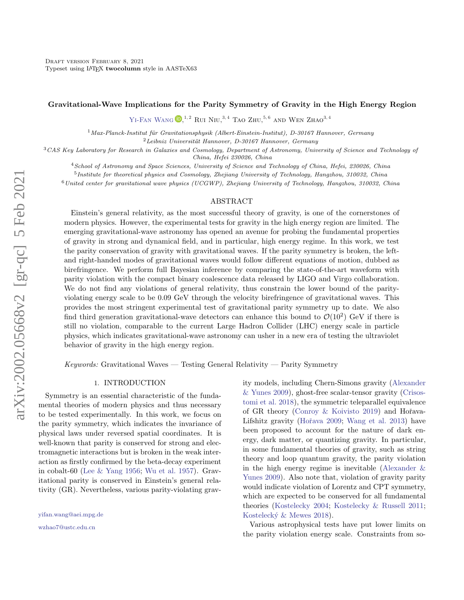### Gravitational-Wave Implications for the Parity Symmetry of Gravity in the High Energy Region

YI-FAN WANG  $\mathbb{D}^{1,2}$  Rui Niu,  $^{3,4}$  Tao Zhu,  $^{5,6}$  and Wen Zhao<sup>3, 4</sup>

 $1$ Max-Planck-Institut für Gravitationsphysik (Albert-Einstein-Institut), D-30167 Hannover, Germany

 $2$ Leibniz Universität Hannover, D-30167 Hannover, Germany

<sup>3</sup>CAS Key Laboratory for Research in Galaxies and Cosmology, Department of Astronomy, University of Science and Technology of China, Hefei 230026, China

<sup>4</sup>School of Astronomy and Space Sciences, University of Science and Technology of China, Hefei, 230026, China

<sup>5</sup>Institute for theoretical physics and Cosmology, Zhejiang University of Technology, Hangzhou, 310032, China

 $6$ United center for gravitational wave physics (UCGWP), Zhejiang University of Technology, Hangzhou, 310032, China

#### ABSTRACT

Einstein's general relativity, as the most successful theory of gravity, is one of the cornerstones of modern physics. However, the experimental tests for gravity in the high energy region are limited. The emerging gravitational-wave astronomy has opened an avenue for probing the fundamental properties of gravity in strong and dynamical field, and in particular, high energy regime. In this work, we test the parity conservation of gravity with gravitational waves. If the parity symmetry is broken, the leftand right-handed modes of gravitational waves would follow different equations of motion, dubbed as birefringence. We perform full Bayesian inference by comparing the state-of-the-art waveform with parity violation with the compact binary coalescence data released by LIGO and Virgo collaboration. We do not find any violations of general relativity, thus constrain the lower bound of the parityviolating energy scale to be 0.09 GeV through the velocity birefringence of gravitational waves. This provides the most stringent experimental test of gravitational parity symmetry up to date. We also find third generation gravitational-wave detectors can enhance this bound to  $\mathcal{O}(10^2)$  GeV if there is still no violation, comparable to the current Large Hadron Collider (LHC) energy scale in particle physics, which indicates gravitational-wave astronomy can usher in a new era of testing the ultraviolet behavior of gravity in the high energy region.

 $Keywords:$  Gravitational Waves — Testing General Relativity — Parity Symmetry

### 1. INTRODUCTION

Symmetry is an essential characteristic of the fundamental theories of modern physics and thus necessary to be tested experimentally. In this work, we focus on the parity symmetry, which indicates the invariance of physical laws under reversed spatial coordinates. It is well-known that parity is conserved for strong and electromagnetic interactions but is broken in the weak interaction as firstly confirmed by the beta-decay experiment in cobalt-60 [\(Lee & Yang](#page-7-0) [1956;](#page-7-0) [Wu et al.](#page-7-1) [1957\)](#page-7-1). Gravitational parity is conserved in Einstein's general relativity (GR). Nevertheless, various parity-violating grav-

[wzhao7@ustc.edu.cn](mailto: wzhao7@ustc.edu.cn)

ity models, including Chern-Simons gravity [\(Alexander](#page-7-2) [& Yunes](#page-7-2) [2009\)](#page-7-2), ghost-free scalar-tensor gravity [\(Crisos](#page-7-3)[tomi et al.](#page-7-3) [2018\)](#page-7-3), the symmetric teleparallel equivalence of GR theory [\(Conroy & Koivisto](#page-7-4) [2019\)](#page-7-4) and Hořava-Lifshitz gravity (Hořava [2009;](#page-7-5) [Wang et al.](#page-7-6) [2013\)](#page-7-6) have been proposed to account for the nature of dark energy, dark matter, or quantizing gravity. In particular, in some fundamental theories of gravity, such as string theory and loop quantum gravity, the parity violation in the high energy regime is inevitable [\(Alexander &](#page-7-2) [Yunes](#page-7-2) [2009\)](#page-7-2). Also note that, violation of gravity parity would indicate violation of Lorentz and CPT symmetry, which are expected to be conserved for all fundamental theories [\(Kostelecky](#page-7-7) [2004;](#page-7-7) [Kostelecky & Russell](#page-7-8) [2011;](#page-7-8) Kostelecký & Mewes [2018\)](#page-7-9).

Various astrophysical tests have put lower limits on the parity violation energy scale. Constraints from so-

[yifan.wang@aei.mpg.de](mailto: yifan.wang@aei.mpg.de)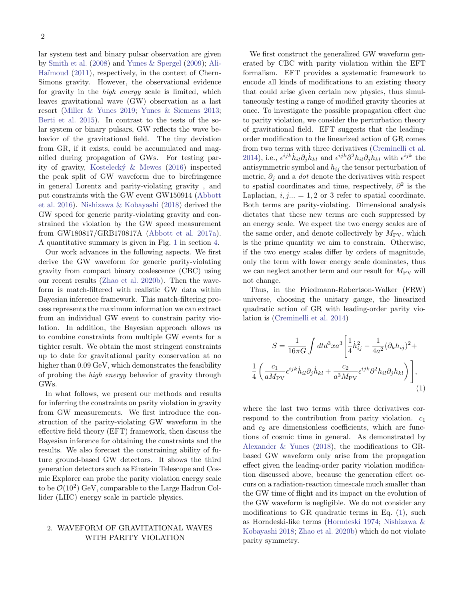lar system test and binary pulsar observation are given by [Smith et al.](#page-7-10) [\(2008\)](#page-7-10) and [Yunes & Spergel](#page-8-0) [\(2009\)](#page-8-0); [Ali-](#page-7-11)Haïmoud [\(2011\)](#page-7-11), respectively, in the context of Chern-Simons gravity. However, the observational evidence for gravity in the high energy scale is limited, which leaves gravitational wave (GW) observation as a last resort [\(Miller & Yunes](#page-7-12) [2019;](#page-7-12) [Yunes & Siemens](#page-8-1) [2013;](#page-8-1) [Berti et al.](#page-7-13) [2015\)](#page-7-13). In contrast to the tests of the solar system or binary pulsars, GW reflects the wave behavior of the gravitational field. The tiny deviation from GR, if it exists, could be accumulated and magnified during propagation of GWs. For testing parity of gravity, [Kosteleck´y & Mewes](#page-7-14) [\(2016\)](#page-7-14) inspected the peak split of GW waveform due to birefringence in general Lorentz and parity-violating gravity , and put constraints with the GW event GW150914 [\(Abbott](#page-7-15) [et al.](#page-7-15) [2016\)](#page-7-15). [Nishizawa & Kobayashi](#page-7-16) [\(2018\)](#page-7-16) derived the GW speed for generic parity-violating gravity and constrained the violation by the GW speed measurement from GW180817/GRB170817A [\(Abbott et al.](#page-7-17) [2017a\)](#page-7-17). A quantitative summary is given in Fig. [1](#page-4-0) in section [4.](#page-3-0)

Our work advances in the following aspects. We first derive the GW waveform for generic parity-violating gravity from compact binary coalescence (CBC) using our recent results [\(Zhao et al.](#page-8-2) [2020b\)](#page-8-2). Then the waveform is match-filtered with realistic GW data within Bayesian inference framework. This match-filtering process represents the maximum information we can extract from an individual GW event to constrain parity violation. In addition, the Bayesian approach allows us to combine constraints from multiple GW events for a tighter result. We obtain the most stringent constraints up to date for gravitational parity conservation at no higher than  $0.09 \,\text{GeV}$ , which demonstrates the feasibility of probing the high energy behavior of gravity through GWs.

In what follows, we present our methods and results for inferring the constraints on parity violation in gravity from GW measurements. We first introduce the construction of the parity-violating GW waveform in the effective field theory (EFT) framework, then discuss the Bayesian inference for obtaining the constraints and the results. We also forecast the constraining ability of future ground-based GW detectors. It shows the third generation detectors such as Einstein Telescope and Cosmic Explorer can probe the parity violation energy scale to be  $\mathcal{O}(10^2)$  GeV, comparable to the Large Hadron Collider (LHC) energy scale in particle physics.

### 2. WAVEFORM OF GRAVITATIONAL WAVES WITH PARITY VIOLATION

We first construct the generalized GW waveform generated by CBC with parity violation within the EFT formalism. EFT provides a systematic framework to encode all kinds of modifications to an existing theory that could arise given certain new physics, thus simultaneously testing a range of modified gravity theories at once. To investigate the possible propagation effect due to parity violation, we consider the perturbation theory of gravitational field. EFT suggests that the leadingorder modification to the linearized action of GR comes from two terms with three derivatives [\(Creminelli et al.](#page-7-18) [2014\)](#page-7-18), i.e.,  $\epsilon^{ijk}\dot{h}_{il}\partial_j\dot{h}_{kl}$  and  $\epsilon^{ijk}\partial_j\dot{h}_{kl}\partial_j\dot{h}_{kl}$  with  $\epsilon^{ijk}$  the antisymmetric symbol and  $h_{ij}$  the tensor perturbation of metric,  $\partial_i$  and a *dot* denote the derivatives with respect to spatial coordinates and time, respectively,  $\partial^2$  is the Laplacian,  $i, j... = 1, 2$  or 3 refer to spatial coordinate. Both terms are parity-violating. Dimensional analysis dictates that these new terms are each suppressed by an energy scale. We expect the two energy scales are of the same order, and denote collectively by  $M_{\rm PV}$ , which is the prime quantity we aim to constrain. Otherwise, if the two energy scales differ by orders of magnitude, only the term with lower energy scale dominates, thus we can neglect another term and our result for  $M_{\rm PV}$  will not change.

Thus, in the Friedmann-Robertson-Walker (FRW) universe, choosing the unitary gauge, the linearized quadratic action of GR with leading-order parity violation is [\(Creminelli et al.](#page-7-18) [2014\)](#page-7-18)

<span id="page-1-0"></span>
$$
S = \frac{1}{16\pi G} \int dt d^3x a^3 \left[ \frac{1}{4} \dot{h}_{ij}^2 - \frac{1}{4a^2} (\partial_k h_{ij})^2 + \left( \frac{c_1}{aM_{\rm PV}} \epsilon^{ijk} \dot{h}_{il} \partial_j \dot{h}_{kl} + \frac{c_2}{a^3 M_{\rm PV}} \epsilon^{ijk} \partial^2 h_{il} \partial_j h_{kl} \right) \right],
$$
\n(1)

1 4

where the last two terms with three derivatives correspond to the contribution from parity violation.  $c_1$ and  $c_2$  are dimensionless coefficients, which are functions of cosmic time in general. As demonstrated by [Alexander & Yunes](#page-7-19) [\(2018\)](#page-7-19), the modifications to GRbased GW waveform only arise from the propagation effect given the leading-order parity violation modification discussed above, because the generation effect occurs on a radiation-reaction timescale much smaller than the GW time of flight and its impact on the evolution of the GW waveform is negligible. We do not consider any modifications to GR quadratic terms in Eq. [\(1\)](#page-1-0), such as Horndeski-like terms [\(Horndeski](#page-7-20) [1974;](#page-7-20) [Nishizawa &](#page-7-16) [Kobayashi](#page-7-16) [2018;](#page-7-16) [Zhao et al.](#page-8-2) [2020b\)](#page-8-2) which do not violate parity symmetry.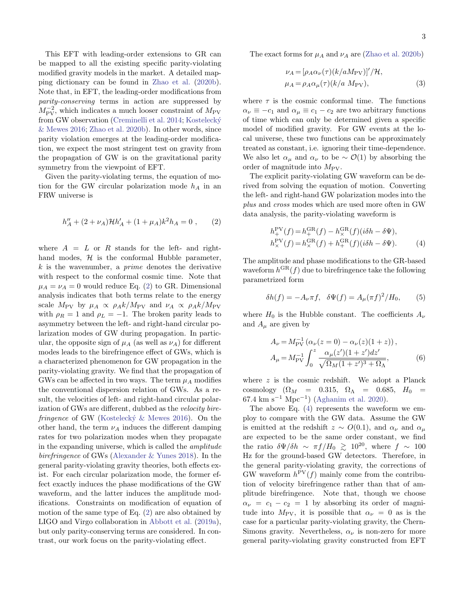This EFT with leading-order extensions to GR can be mapped to all the existing specific parity-violating modified gravity models in the market. A detailed mapping dictionary can be found in [Zhao et al.](#page-8-2) [\(2020b\)](#page-8-2). Note that, in EFT, the leading-order modifications from parity-conserving terms in action are suppressed by  $M_{\rm PV}^{-2}$ , which indicates a much looser constraint of  $M_{\rm PV}$ from GW observation [\(Creminelli et al.](#page-7-18) [2014;](#page-7-18) Kostelecký [& Mewes](#page-7-14) [2016;](#page-7-14) [Zhao et al.](#page-8-2) [2020b\)](#page-8-2). In other words, since parity violation emerges at the leading-order modification, we expect the most stringent test on gravity from the propagation of GW is on the gravitational parity symmetry from the viewpoint of EFT.

Given the parity-violating terms, the equation of motion for the GW circular polarization mode  $h_A$  in an FRW universe is

<span id="page-2-0"></span>
$$
h''_A + (2 + \nu_A) \mathcal{H} h'_A + (1 + \mu_A) k^2 h_A = 0 , \qquad (2)
$$

where  $A = L$  or R stands for the left- and righthand modes,  $H$  is the conformal Hubble parameter,  $k$  is the wavenumber, a *prime* denotes the derivative with respect to the conformal cosmic time. Note that  $\mu_A = \nu_A = 0$  would reduce Eq. [\(2\)](#page-2-0) to GR. Dimensional analysis indicates that both terms relate to the energy scale  $M_{\rm PV}$  by  $\mu_A \propto \rho_A k / M_{\rm PV}$  and  $\nu_A \propto \rho_A k / M_{\rm PV}$ with  $\rho_R = 1$  and  $\rho_L = -1$ . The broken parity leads to asymmetry between the left- and right-hand circular polarization modes of GW during propagation. In particular, the opposite sign of  $\mu_A$  (as well as  $\nu_A$ ) for different modes leads to the birefringence effect of GWs, which is a characterized phenomenon for GW propagation in the parity-violating gravity. We find that the propagation of GWs can be affected in two ways. The term  $\mu_A$  modifies the conventional dispersion relation of GWs. As a result, the velocities of left- and right-hand circular polarization of GWs are different, dubbed as the velocity bire*fringence* of GW (Kostelecký  $\&$  Mewes [2016\)](#page-7-14). On the other hand, the term  $\nu_A$  induces the different damping rates for two polarization modes when they propagate in the expanding universe, which is called the amplitude birefringence of GWs [\(Alexander & Yunes](#page-7-19) [2018\)](#page-7-19). In the general parity-violating gravity theories, both effects exist. For each circular polarization mode, the former effect exactly induces the phase modifications of the GW waveform, and the latter induces the amplitude modifications. Constraints on modification of equation of motion of the same type of Eq. [\(2\)](#page-2-0) are also obtained by LIGO and Virgo collaboration in [Abbott et al.](#page-7-21) [\(2019a\)](#page-7-21), but only parity-conserving terms are considered. In contrast, our work focus on the parity-violating effect.

The exact forms for  $\mu_A$  and  $\nu_A$  are [\(Zhao et al.](#page-8-2) [2020b\)](#page-8-2)

$$
\nu_A = [\rho_A \alpha_\nu(\tau) (k/aM_{\rm PV})]' / \mathcal{H},
$$
  
\n
$$
\mu_A = \rho_A \alpha_\mu(\tau) (k/a \ M_{\rm PV}),
$$
\n(3)

where  $\tau$  is the cosmic conformal time. The functions  $\alpha_{\nu} \equiv -c_1$  and  $\alpha_{\mu} \equiv c_1 - c_2$  are two arbitrary functions of time which can only be determined given a specific model of modified gravity. For GW events at the local universe, these two functions can be approximately treated as constant, i.e. ignoring their time-dependence. We also let  $\alpha_{\mu}$  and  $\alpha_{\nu}$  to be  $\sim \mathcal{O}(1)$  by absorbing the order of magnitude into  $M_{\rm PV}$ .

The explicit parity-violating GW waveform can be derived from solving the equation of motion. Converting the left- and right-hand GW polarization modes into the plus and cross modes which are used more often in GW data analysis, the parity-violating waveform is

<span id="page-2-1"></span>
$$
h_{+}^{\text{PV}}(f) = h_{+}^{\text{GR}}(f) - h_{\times}^{\text{GR}}(f)(i\delta h - \delta \Psi),
$$
  
\n
$$
h_{\times}^{\text{PV}}(f) = h_{\times}^{\text{GR}}(f) + h_{+}^{\text{GR}}(f)(i\delta h - \delta \Psi). \tag{4}
$$

The amplitude and phase modifications to the GR-based waveform  $h^{GR}(f)$  due to birefringence take the following parametrized form

$$
\delta h(f) = -A_{\nu}\pi f, \quad \delta \Psi(f) = A_{\mu}(\pi f)^2 / H_0,\tag{5}
$$

where  $H_0$  is the Hubble constant. The coefficients  $A_{\nu}$ and  $A_{\mu}$  are given by

<span id="page-2-2"></span>
$$
A_{\nu} = M_{\text{PV}}^{-1} \left( \alpha_{\nu} (z = 0) - \alpha_{\nu} (z) (1 + z) \right),
$$
  
\n
$$
A_{\mu} = M_{\text{PV}}^{-1} \int_0^z \frac{\alpha_{\mu} (z') (1 + z') dz'}{\sqrt{\Omega_M (1 + z')^3 + \Omega_\Lambda}},
$$
(6)

where  $z$  is the cosmic redshift. We adopt a Planck cosmology  $(\Omega_M = 0.315, \Omega_\Lambda = 0.685, H_0 =$ 67.4 km s<sup>-1</sup> Mpc<sup>-1</sup>) [\(Aghanim et al.](#page-7-22) [2020\)](#page-7-22).

The above Eq. [\(4\)](#page-2-1) represents the waveform we employ to compare with the GW data. Assume the GW is emitted at the redshift  $z \sim O(0.1)$ , and  $\alpha_{\nu}$  and  $\alpha_{\mu}$ are expected to be the same order constant, we find the ratio  $\delta\Psi/\delta h \sim \pi f/H_0 \gtrsim 10^{20}$ , where  $f \sim 100$ Hz for the ground-based GW detectors. Therefore, in the general parity-violating gravity, the corrections of GW waveform  $h^{PV}(f)$  mainly come from the contribution of velocity birefringence rather than that of amplitude birefringence. Note that, though we choose  $\alpha_{\nu} = c_1 - c_2 = 1$  by absorbing its order of magnitude into  $M_{\rm PV}$ , it is possible that  $\alpha_{\nu} = 0$  as is the case for a particular parity-violating gravity, the Chern-Simons gravity. Nevertheless,  $\alpha_{\nu}$  is non-zero for more general parity-violating gravity constructed from EFT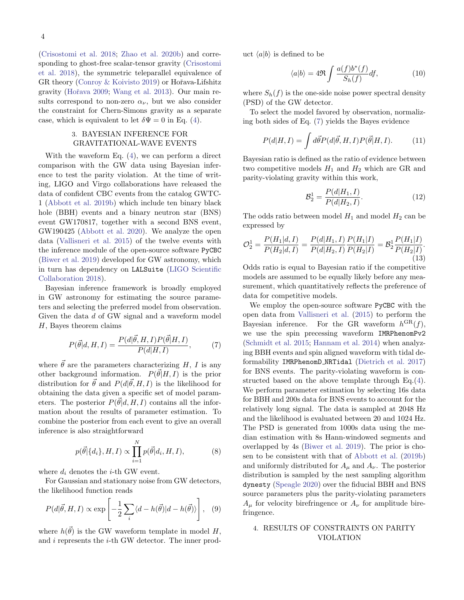[\(Crisostomi et al.](#page-7-3) [2018;](#page-7-3) [Zhao et al.](#page-8-2) [2020b\)](#page-8-2) and corresponding to ghost-free scalar-tensor gravity [\(Crisostomi](#page-7-3) [et al.](#page-7-3) [2018\)](#page-7-3), the symmetric teleparallel equivalence of GR theory [\(Conroy & Koivisto](#page-7-4) [2019\)](#page-7-4) or Hořava-Lifshitz gravity (Hořava [2009;](#page-7-5) [Wang et al.](#page-7-6) [2013\)](#page-7-6). Our main results correspond to non-zero  $\alpha_{\nu}$ , but we also consider the constraint for Chern-Simons gravity as a separate case, which is equivalent to let  $\delta \Psi = 0$  in Eq. [\(4\)](#page-2-1).

# 3. BAYESIAN INFERENCE FOR GRAVITATIONAL-WAVE EVENTS

With the waveform Eq. [\(4\)](#page-2-1), we can perform a direct comparison with the GW data using Bayesian inference to test the parity violation. At the time of writing, LIGO and Virgo collaborations have released the data of confident CBC events from the catalog GWTC-1 [\(Abbott et al.](#page-7-23) [2019b\)](#page-7-23) which include ten binary black hole (BBH) events and a binary neutron star (BNS) event GW170817, together with a second BNS event, GW190425 [\(Abbott et al.](#page-7-24) [2020\)](#page-7-24). We analyze the open data [\(Vallisneri et al.](#page-7-25) [2015\)](#page-7-25) of the twelve events with the inference module of the open-source software PyCBC [\(Biwer et al.](#page-7-26) [2019\)](#page-7-26) developed for GW astronomy, which in turn has dependency on LALSuite [\(LIGO Scientific](#page-7-27) [Collaboration](#page-7-27) [2018\)](#page-7-27).

Bayesian inference framework is broadly employed in GW astronomy for estimating the source parameters and selecting the preferred model from observation. Given the data d of GW signal and a waveform model H, Bayes theorem claims

<span id="page-3-1"></span>
$$
P(\vec{\theta}|d, H, I) = \frac{P(d|\vec{\theta}, H, I)P(\vec{\theta}|H, I)}{P(d|H, I)},
$$
(7)

where  $\vec{\theta}$  are the parameters characterizing H, I is any other background information.  $P(\vec{\theta}|H, I)$  is the prior distribution for  $\vec{\theta}$  and  $P(d|\vec{\theta}, H, I)$  is the likelihood for obtaining the data given a specific set of model parameters. The posterior  $P(\vec{\theta}|d, H, I)$  contains all the information about the results of parameter estimation. To combine the posterior from each event to give an overall inference is also straightforward

$$
p(\vec{\theta}|\{d_i\}, H, I) \propto \prod_{i=1}^{N} p(\vec{\theta}|d_i, H, I),
$$
 (8)

where  $d_i$  denotes the *i*-th GW event.

For Gaussian and stationary noise from GW detectors, the likelihood function reads

$$
P(d|\vec{\theta}, H, I) \propto \exp\left[-\frac{1}{2}\sum_{i} \langle d - h(\vec{\theta}) | d - h(\vec{\theta}) \rangle\right], \quad (9)
$$

where  $h(\vec{\theta})$  is the GW waveform template in model H, and  $i$  represents the  $i$ -th GW detector. The inner product  $\langle a|b \rangle$  is defined to be

$$
\langle a|b\rangle = 4\Re \int \frac{a(f)b^*(f)}{S_h(f)} df,
$$
\n(10)

where  $S_h(f)$  is the one-side noise power spectral density (PSD) of the GW detector.

To select the model favored by observation, normalizing both sides of Eq. [\(7\)](#page-3-1) yields the Bayes evidence

$$
P(d|H, I) = \int d\vec{\theta} P(d|\vec{\theta}, H, I) P(\vec{\theta}|H, I). \tag{11}
$$

Bayesian ratio is defined as the ratio of evidence between two competitive models  $H_1$  and  $H_2$  which are GR and parity-violating gravity within this work,

$$
\mathcal{B}_2^1 = \frac{P(d|H_1, I)}{P(d|H_2, I)}.\tag{12}
$$

The odds ratio between model  $H_1$  and model  $H_2$  can be expressed by

$$
\mathcal{O}_2^1 = \frac{P(H_1|d, I)}{P(H_2|d, I)} = \frac{P(d|H_1, I)}{P(d|H_2, I)} \frac{P(H_1|I)}{P(H_2|I)} = \mathcal{B}_2^1 \frac{P(H_1|I)}{P(H_2|I)}.
$$
\n(13)

Odds ratio is equal to Bayesian ratio if the competitive models are assumed to be equally likely before any measurement, which quantitatively reflects the preference of data for competitive models.

We employ the open-source software PyCBC with the open data from [Vallisneri et al.](#page-7-25) [\(2015\)](#page-7-25) to perform the Bayesian inference. For the GR waveform  $h^{GR}(f)$ , we use the spin precessing waveform IMRPhenomPv2 [\(Schmidt et al.](#page-7-28) [2015;](#page-7-28) [Hannam et al.](#page-7-29) [2014\)](#page-7-29) when analyzing BBH events and spin aligned waveform with tidal deformability IMRPhenomD NRTidal [\(Dietrich et al.](#page-7-30) [2017\)](#page-7-30) for BNS events. The parity-violating waveform is constructed based on the above template through Eq.[\(4\)](#page-2-1). We perform parameter estimation by selecting 16s data for BBH and 200s data for BNS events to account for the relatively long signal. The data is sampled at 2048 Hz and the likelihood is evaluated between 20 and 1024 Hz. The PSD is generated from 1000s data using the median estimation with 8s Hann-windowed segments and overlapped by 4s [\(Biwer et al.](#page-7-26) [2019\)](#page-7-26). The prior is chosen to be consistent with that of [Abbott et al.](#page-7-23) [\(2019b\)](#page-7-23) and uniformly distributed for  $A_{\mu}$  and  $A_{\nu}$ . The posterior distribution is sampled by the nest sampling algorithm dynesty [\(Speagle](#page-7-31) [2020\)](#page-7-31) over the fiducial BBH and BNS source parameters plus the parity-violating parameters  $A_{\mu}$  for velocity birefringence or  $A_{\nu}$  for amplitude birefringence.

# <span id="page-3-0"></span>4. RESULTS OF CONSTRAINTS ON PARITY VIOLATION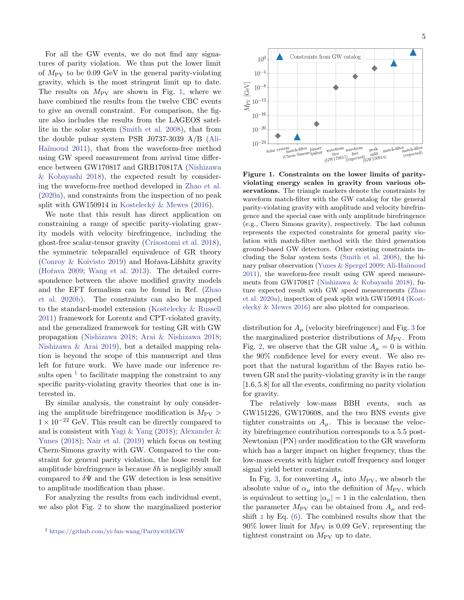For all the GW events, we do not find any signatures of parity violation. We thus put the lower limit of  $M_{\rm PV}$  to be 0.09 GeV in the general parity-violating gravity, which is the most stringent limit up to date. The results on  $M_{\text{PV}}$  are shown in Fig. [1,](#page-4-0) where we have combined the results from the twelve CBC events to give an overall constraint. For comparison, the figure also includes the results from the LAGEOS satellite in the solar system [\(Smith et al.](#page-7-10) [2008\)](#page-7-10), that from the double pulsar system PSR J0737-3039 A/B [\(Ali-](#page-7-11)Haïmoud [2011\)](#page-7-11), that from the waveform-free method using GW speed measurement from arrival time difference between GW170817 and GRB170817A [\(Nishizawa](#page-7-16) [& Kobayashi](#page-7-16) [2018\)](#page-7-16), the expected result by considering the waveform-free method developed in [Zhao et al.](#page-8-3) [\(2020a\)](#page-8-3), and constraints from the inspection of no peak split with GW150914 in Kostelecký  $\&$  Mewes [\(2016\)](#page-7-14).

We note that this result has direct application on constraining a range of specific parity-violating gravity models with velocity birefringence, including the ghost-free scalar-tensor gravity [\(Crisostomi et al.](#page-7-3) [2018\)](#page-7-3), the symmetric teleparallel equivalence of GR theory [\(Conroy & Koivisto](#page-7-4) [2019\)](#page-7-4) and Hoˇrava-Lifshitz gravity (Hořava [2009;](#page-7-5) [Wang et al.](#page-7-6) [2013\)](#page-7-6). The detailed correspondence between the above modified gravity models and the EFT formalism can be found in Ref. [\(Zhao](#page-8-2) [et al.](#page-8-2) [2020b\)](#page-8-2). The constraints can also be mapped to the standard-model extension [\(Kostelecky & Russell](#page-7-8) [2011\)](#page-7-8) framework for Lorentz and CPT-violated gravity, and the generalized framework for testing GR with GW propagation [\(Nishizawa](#page-7-32) [2018;](#page-7-32) [Arai & Nishizawa](#page-7-33) [2018;](#page-7-33) [Nishizawa & Arai](#page-7-34) [2019\)](#page-7-34), but a detailed mapping relation is beyond the scope of this manuscript and thus left for future work. We have made our inference results open  $<sup>1</sup>$  $<sup>1</sup>$  $<sup>1</sup>$  to facilitate mapping the constraint to any</sup> specific parity-violating gravity theories that one is interested in.

By similar analysis, the constraint by only considering the amplitude birefringence modification is  $M_{\text{PV}} >$  $1 \times 10^{-22}$  GeV. This result can be directly compared to and is consistent with [Yagi & Yang](#page-7-35) [\(2018\)](#page-7-35); [Alexander &](#page-7-19) [Yunes](#page-7-19) [\(2018\)](#page-7-19); [Nair et al.](#page-7-36) [\(2019\)](#page-7-36) which focus on testing Chern-Simons gravity with GW. Compared to the constraint for general parity violation, the loose result for amplitude birefringence is because  $\delta h$  is negligibly small compared to  $\delta \Psi$  and the GW detection is less sensitive to amplitude modification than phase.

For analyzing the results from each individual event, we also plot Fig. [2](#page-5-0) to show the marginalized posterior



<span id="page-4-0"></span>Figure 1. Constraints on the lower limits of parityviolating energy scales in gravity from various observations. The triangle markers denote the constraints by waveform match-filter with the GW catalog for the general parity-violating gravity with amplitude and velocity birefringence and the special case with only amplitude birefringence (e.g., Chern Simons gravity), respectively. The last column represents the expected constraints for general parity violation with match-filter method with the third generation ground-based GW detectors. Other existing constraints including the Solar system tests [\(Smith et al.](#page-7-10) [2008\)](#page-7-10), the bi-nary pulsar observation [\(Yunes & Spergel](#page-8-0) [2009;](#page-8-0) Ali-Haïmoud [2011\)](#page-7-11), the waveform-free result using GW speed measurements from GW170817 [\(Nishizawa & Kobayashi](#page-7-16) [2018\)](#page-7-16), future expected result with GW speed measurements [\(Zhao](#page-8-3) [et al.](#page-8-3) [2020a\)](#page-8-3), inspection of peak split with GW150914 [\(Kost](#page-7-14)elecký  $\&$  Mewes [2016\)](#page-7-14) are also plotted for comparison.

distribution for  $A_\mu$  (velocity birefringence) and Fig. [3](#page-5-1) for the marginalized posterior distributions of  $M_{\rm PV}$ . From Fig. [2,](#page-5-0) we observe that the GR value  $A_\mu = 0$  is within the 90% confidence level for every event. We also report that the natural logarithm of the Bayes ratio between GR and the parity-violating gravity is in the range [1.6, 5.8] for all the events, confirming no parity violation for gravity.

The relatively low-mass BBH events, such as GW151226, GW170608, and the two BNS events give tighter constraints on  $A_{\mu}$ . This is because the velocity birefringence contribution corresponds to a 5.5 post-Newtonian (PN) order modification to the GR waveform which has a larger impact on higher frequency, thus the low-mass events with higher cutoff frequency and longer signal yield better constraints.

In Fig. [3,](#page-5-1) for converting  $A_{\mu}$  into  $M_{\rm PV}$ , we absorb the absolute value of  $\alpha_{\mu}$  into the definition of  $M_{\rm PV}$ , which is equivalent to setting  $|\alpha_{\mu}| = 1$  in the calculation, then the parameter  $M_{\rm PV}$  can be obtained from  $A_\mu$  and redshift  $z$  by Eq.  $(6)$ . The combined results show that the  $90\%$  lower limit for  $M_{\text{PV}}$  is 0.09 GeV, representing the tightest constraint on  $M_{\rm PV}$  up to date.

<span id="page-4-1"></span><sup>1</sup> <https://github.com/yi-fan-wang/ParitywithGW>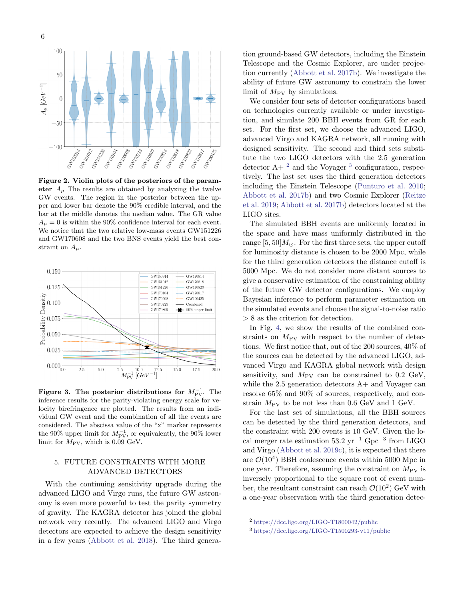

<span id="page-5-0"></span>Figure 2. Violin plots of the posteriors of the parameter  $A_{\mu}$  The results are obtained by analyzing the twelve GW events. The region in the posterior between the upper and lower bar denote the 90% credible interval, and the bar at the middle denotes the median value. The GR value  $A_{\mu} = 0$  is within the 90% confidence interval for each event. We notice that the two relative low-mass events GW151226 and GW170608 and the two BNS events yield the best constraint on  $A_\mu$ .



<span id="page-5-1"></span>Figure 3. The posterior distributions for  $M_{\rm PV}^{-1}$ . The inference results for the parity-violating energy scale for velocity birefringence are plotted. The results from an individual GW event and the combination of all the events are considered. The abscissa value of the "x" marker represents the 90% upper limit for  $M_{\rm PV}^{-1}$ , or equivalently, the 90% lower limit for  $M_{\rm PV}$ , which is 0.09 GeV.

## 5. FUTURE CONSTRAINTS WITH MORE ADVANCED DETECTORS

With the continuing sensitivity upgrade during the advanced LIGO and Virgo runs, the future GW astronomy is even more powerful to test the parity symmetry of gravity. The KAGRA detector has joined the global network very recently. The advanced LIGO and Virgo detectors are expected to achieve the design sensitivity in a few years [\(Abbott et al.](#page-7-37) [2018\)](#page-7-37). The third generation ground-based GW detectors, including the Einstein Telescope and the Cosmic Explorer, are under projection currently [\(Abbott et al.](#page-7-38) [2017b\)](#page-7-38). We investigate the ability of future GW astronomy to constrain the lower limit of  $M_{\rm PV}$  by simulations.

We consider four sets of detector configurations based on technologies currently available or under investigation, and simulate 200 BBH events from GR for each set. For the first set, we choose the advanced LIGO, advanced Virgo and KAGRA network, all running with designed sensitivity. The second and third sets substitute the two LIGO detectors with the 2.5 generation detector  $A + \nvert^2$  $A + \nvert^2$  and the Voyager<sup>[3](#page-5-3)</sup> configuration, respectively. The last set uses the third generation detectors including the Einstein Telescope [\(Punturo et al.](#page-7-39) [2010;](#page-7-39) [Abbott et al.](#page-7-38) [2017b\)](#page-7-38) and two Cosmic Explorer [\(Reitze](#page-7-40) [et al.](#page-7-40) [2019;](#page-7-40) [Abbott et al.](#page-7-38) [2017b\)](#page-7-38) detectors located at the LIGO sites.

The simulated BBH events are uniformly located in the space and have mass uniformly distributed in the range  $[5, 50]M_{\odot}$ . For the first three sets, the upper cutoff for luminosity distance is chosen to be 2000 Mpc, while for the third generation detectors the distance cutoff is 5000 Mpc. We do not consider more distant sources to give a conservative estimation of the constraining ability of the future GW detector configurations. We employ Bayesian inference to perform parameter estimation on the simulated events and choose the signal-to-noise ratio > 8 as the criterion for detection.

In Fig. [4,](#page-6-0) we show the results of the combined constraints on  $M_{\text{PV}}$  with respect to the number of detections. We first notice that, out of the 200 sources, 40% of the sources can be detected by the advanced LIGO, advanced Virgo and KAGRA global network with design sensitivity, and  $M_{\text{PV}}$  can be constrained to 0.2 GeV, while the  $2.5$  generation detectors  $A+$  and Voyager can resolve 65% and 90% of sources, respectively, and constrain  $M_{\text{PV}}$  to be not less than 0.6 GeV and 1 GeV.

For the last set of simulations, all the BBH sources can be detected by the third generation detectors, and the constraint with 200 events is 10 GeV. Given the local merger rate estimation 53.2 yr<sup>−</sup><sup>1</sup> Gpc<sup>−</sup><sup>3</sup> from LIGO and Virgo [\(Abbott et al.](#page-7-41) [2019c\)](#page-7-41), it is expected that there are  $\mathcal{O}(10^4)$  BBH coalescence events within 5000 Mpc in one year. Therefore, assuming the constraint on  $M_{\rm PV}$  is inversely proportional to the square root of event number, the resultant constraint can reach  $\mathcal{O}(10^2)$  GeV with a one-year observation with the third generation detec-

<span id="page-5-2"></span><sup>2</sup> <https://dcc.ligo.org/LIGO-T1800042/public>

<span id="page-5-3"></span><sup>3</sup> <https://dcc.ligo.org/LIGO-T1500293-v11/public>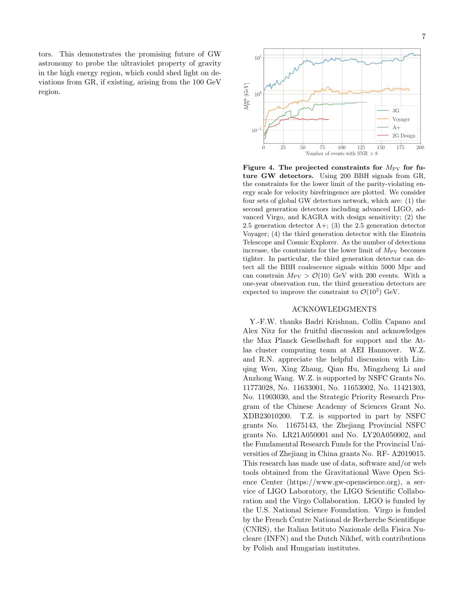tors. This demonstrates the promising future of GW astronomy to probe the ultraviolet property of gravity in the high energy region, which could shed light on deviations from GR, if existing, arising from the 100 GeV region.



<span id="page-6-0"></span>Figure 4. The projected constraints for  $M_{\rm PV}$  for future GW detectors. Using 200 BBH signals from GR, the constraints for the lower limit of the parity-violating energy scale for velocity birefringence are plotted. We consider four sets of global GW detectors network, which are: (1) the second generation detectors including advanced LIGO, advanced Virgo, and KAGRA with design sensitivity; (2) the 2.5 generation detector  $A+$ ; (3) the 2.5 generation detector Voyager; (4) the third generation detector with the Einstein Telescope and Cosmic Explorer. As the number of detections increase, the constraints for the lower limit of  $M_{\rm PV}$  becomes tighter. In particular, the third generation detector can detect all the BBH coalescence signals within 5000 Mpc and can constrain  $M_{\rm PV} > \mathcal{O}(10)$  GeV with 200 events. With a one-year observation run, the third generation detectors are expected to improve the constraint to  $\mathcal{O}(10^2)$  GeV.

#### ACKNOWLEDGMENTS

Y.-F.W. thanks Badri Krishnan, Collin Capano and Alex Nitz for the fruitful discussion and acknowledges the Max Planck Gesellschaft for support and the Atlas cluster computing team at AEI Hannover. W.Z. and R.N. appreciate the helpful discussion with Linqing Wen, Xing Zhang, Qian Hu, Mingzheng Li and Anzhong Wang. W.Z. is supported by NSFC Grants No. 11773028, No. 11633001, No. 11653002, No. 11421303, No. 11903030, and the Strategic Priority Research Program of the Chinese Academy of Sciences Grant No. XDB23010200. T.Z. is supported in part by NSFC grants No. 11675143, the Zhejiang Provincial NSFC grants No. LR21A050001 and No. LY20A050002, and the Fundamental Research Funds for the Provincial Universities of Zhejiang in China grants No. RF- A2019015. This research has made use of data, software and/or web tools obtained from the Gravitational Wave Open Science Center (https://www.gw-openscience.org), a service of LIGO Laboratory, the LIGO Scientific Collaboration and the Virgo Collaboration. LIGO is funded by the U.S. National Science Foundation. Virgo is funded by the French Centre National de Recherche Scientifique (CNRS), the Italian Istituto Nazionale della Fisica Nucleare (INFN) and the Dutch Nikhef, with contributions by Polish and Hungarian institutes.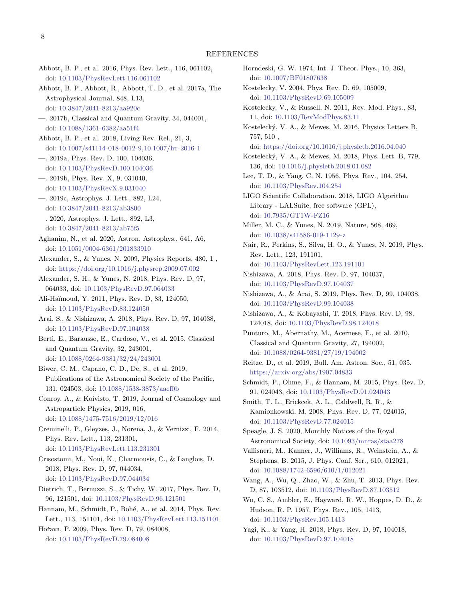#### REFERENCES

- <span id="page-7-15"></span>Abbott, B. P., et al. 2016, Phys. Rev. Lett., 116, 061102, doi: [10.1103/PhysRevLett.116.061102](http://doi.org/10.1103/PhysRevLett.116.061102)
- <span id="page-7-17"></span>Abbott, B. P., Abbott, R., Abbott, T. D., et al. 2017a, The Astrophysical Journal, 848, L13, doi: [10.3847/2041-8213/aa920c](http://doi.org/10.3847/2041-8213/aa920c)
- <span id="page-7-38"></span>—. 2017b, Classical and Quantum Gravity, 34, 044001, doi: [10.1088/1361-6382/aa51f4](http://doi.org/10.1088/1361-6382/aa51f4)
- <span id="page-7-37"></span>Abbott, B. P., et al. 2018, Living Rev. Rel., 21, 3, doi: [10.1007/s41114-018-0012-9,10.1007/lrr-2016-1](http://doi.org/10.1007/s41114-018-0012-9, 10.1007/lrr-2016-1)
- <span id="page-7-21"></span>—. 2019a, Phys. Rev. D, 100, 104036, doi: [10.1103/PhysRevD.100.104036](http://doi.org/10.1103/PhysRevD.100.104036)
- <span id="page-7-23"></span>—. 2019b, Phys. Rev. X, 9, 031040, doi: [10.1103/PhysRevX.9.031040](http://doi.org/10.1103/PhysRevX.9.031040)
- <span id="page-7-41"></span>—. 2019c, Astrophys. J. Lett., 882, L24, doi: [10.3847/2041-8213/ab3800](http://doi.org/10.3847/2041-8213/ab3800)
- <span id="page-7-24"></span>—. 2020, Astrophys. J. Lett., 892, L3, doi: [10.3847/2041-8213/ab75f5](http://doi.org/10.3847/2041-8213/ab75f5)
- <span id="page-7-22"></span>Aghanim, N., et al. 2020, Astron. Astrophys., 641, A6, doi: [10.1051/0004-6361/201833910](http://doi.org/10.1051/0004-6361/201833910)
- <span id="page-7-2"></span>Alexander, S., & Yunes, N. 2009, Physics Reports, 480, 1 , doi: [https://doi.org/10.1016/j.physrep.2009.07.002](http://doi.org/https://doi.org/10.1016/j.physrep.2009.07.002)
- <span id="page-7-32"></span><span id="page-7-19"></span>Alexander, S. H., & Yunes, N. 2018, Phys. Rev. D, 97, 064033, doi: [10.1103/PhysRevD.97.064033](http://doi.org/10.1103/PhysRevD.97.064033)
- <span id="page-7-11"></span>Ali-Ha¨ımoud, Y. 2011, Phys. Rev. D, 83, 124050, doi: [10.1103/PhysRevD.83.124050](http://doi.org/10.1103/PhysRevD.83.124050)
- <span id="page-7-33"></span>Arai, S., & Nishizawa, A. 2018, Phys. Rev. D, 97, 104038, doi: [10.1103/PhysRevD.97.104038](http://doi.org/10.1103/PhysRevD.97.104038)
- <span id="page-7-13"></span>Berti, E., Barausse, E., Cardoso, V., et al. 2015, Classical and Quantum Gravity, 32, 243001, doi: [10.1088/0264-9381/32/24/243001](http://doi.org/10.1088/0264-9381/32/24/243001)
- <span id="page-7-26"></span>Biwer, C. M., Capano, C. D., De, S., et al. 2019, Publications of the Astronomical Society of the Pacific, 131, 024503, doi: [10.1088/1538-3873/aaef0b](http://doi.org/10.1088/1538-3873/aaef0b)
- <span id="page-7-4"></span>Conroy, A., & Koivisto, T. 2019, Journal of Cosmology and Astroparticle Physics, 2019, 016, doi: [10.1088/1475-7516/2019/12/016](http://doi.org/10.1088/1475-7516/2019/12/016)
- <span id="page-7-18"></span>Creminelli, P., Gleyzes, J., Noreña, J., & Vernizzi, F. 2014, Phys. Rev. Lett., 113, 231301, doi: [10.1103/PhysRevLett.113.231301](http://doi.org/10.1103/PhysRevLett.113.231301)

<span id="page-7-3"></span>Crisostomi, M., Noui, K., Charmousis, C., & Langlois, D. 2018, Phys. Rev. D, 97, 044034, doi: [10.1103/PhysRevD.97.044034](http://doi.org/10.1103/PhysRevD.97.044034)

- <span id="page-7-30"></span>Dietrich, T., Bernuzzi, S., & Tichy, W. 2017, Phys. Rev. D, 96, 121501, doi: [10.1103/PhysRevD.96.121501](http://doi.org/10.1103/PhysRevD.96.121501)
- <span id="page-7-29"></span>Hannam, M., Schmidt, P., Bohé, A., et al. 2014, Phys. Rev. Lett., 113, 151101, doi: [10.1103/PhysRevLett.113.151101](http://doi.org/10.1103/PhysRevLett.113.151101)

<span id="page-7-5"></span>Hořava, P. 2009, Phys. Rev. D, 79, 084008, doi: [10.1103/PhysRevD.79.084008](http://doi.org/10.1103/PhysRevD.79.084008)

- <span id="page-7-36"></span><span id="page-7-27"></span><span id="page-7-20"></span><span id="page-7-14"></span><span id="page-7-12"></span><span id="page-7-9"></span><span id="page-7-8"></span><span id="page-7-7"></span><span id="page-7-0"></span>Horndeski, G. W. 1974, Int. J. Theor. Phys., 10, 363, doi: [10.1007/BF01807638](http://doi.org/10.1007/BF01807638) Kostelecky, V. 2004, Phys. Rev. D, 69, 105009, doi: [10.1103/PhysRevD.69.105009](http://doi.org/10.1103/PhysRevD.69.105009) Kostelecky, V., & Russell, N. 2011, Rev. Mod. Phys., 83, 11, doi: [10.1103/RevModPhys.83.11](http://doi.org/10.1103/RevModPhys.83.11) Kosteleck´y, V. A., & Mewes, M. 2016, Physics Letters B, 757, 510 , doi: [https://doi.org/10.1016/j.physletb.2016.04.040](http://doi.org/https://doi.org/10.1016/j.physletb.2016.04.040) Kosteleck´y, V. A., & Mewes, M. 2018, Phys. Lett. B, 779, 136, doi: [10.1016/j.physletb.2018.01.082](http://doi.org/10.1016/j.physletb.2018.01.082) Lee, T. D., & Yang, C. N. 1956, Phys. Rev., 104, 254, doi: [10.1103/PhysRev.104.254](http://doi.org/10.1103/PhysRev.104.254) LIGO Scientific Collaboration. 2018, LIGO Algorithm Library - LALSuite, free software (GPL), doi: [10.7935/GT1W-FZ16](http://doi.org/10.7935/GT1W-FZ16) Miller, M. C., & Yunes, N. 2019, Nature, 568, 469, doi: [10.1038/s41586-019-1129-z](http://doi.org/10.1038/s41586-019-1129-z) Nair, R., Perkins, S., Silva, H. O., & Yunes, N. 2019, Phys. Rev. Lett., 123, 191101, doi: [10.1103/PhysRevLett.123.191101](http://doi.org/10.1103/PhysRevLett.123.191101) Nishizawa, A. 2018, Phys. Rev. D, 97, 104037, doi: [10.1103/PhysRevD.97.104037](http://doi.org/10.1103/PhysRevD.97.104037) Nishizawa, A., & Arai, S. 2019, Phys. Rev. D, 99, 104038, doi: [10.1103/PhysRevD.99.104038](http://doi.org/10.1103/PhysRevD.99.104038) Nishizawa, A., & Kobayashi, T. 2018, Phys. Rev. D, 98, 124018, doi: [10.1103/PhysRevD.98.124018](http://doi.org/10.1103/PhysRevD.98.124018) Punturo, M., Abernathy, M., Acernese, F., et al. 2010, Classical and Quantum Gravity, 27, 194002, doi: [10.1088/0264-9381/27/19/194002](http://doi.org/10.1088/0264-9381/27/19/194002) Reitze, D., et al. 2019, Bull. Am. Astron. Soc., 51, 035. <https://arxiv.org/abs/1907.04833> Schmidt, P., Ohme, F., & Hannam, M. 2015, Phys. Rev. D, 91, 024043, doi: [10.1103/PhysRevD.91.024043](http://doi.org/10.1103/PhysRevD.91.024043) Smith, T. L., Erickcek, A. L., Caldwell, R. R., & Kamionkowski, M. 2008, Phys. Rev. D, 77, 024015, doi: [10.1103/PhysRevD.77.024015](http://doi.org/10.1103/PhysRevD.77.024015) Speagle, J. S. 2020, Monthly Notices of the Royal Astronomical Society, doi: [10.1093/mnras/staa278](http://doi.org/10.1093/mnras/staa278) Vallisneri, M., Kanner, J., Williams, R., Weinstein, A., & Stephens, B. 2015, J. Phys. Conf. Ser., 610, 012021, doi: [10.1088/1742-6596/610/1/012021](http://doi.org/10.1088/1742-6596/610/1/012021)
- <span id="page-7-40"></span><span id="page-7-39"></span><span id="page-7-34"></span><span id="page-7-31"></span><span id="page-7-28"></span><span id="page-7-25"></span><span id="page-7-16"></span><span id="page-7-10"></span><span id="page-7-6"></span>Wang, A., Wu, Q., Zhao, W., & Zhu, T. 2013, Phys. Rev. D, 87, 103512, doi: [10.1103/PhysRevD.87.103512](http://doi.org/10.1103/PhysRevD.87.103512)
- <span id="page-7-1"></span>Wu, C. S., Ambler, E., Hayward, R. W., Hoppes, D. D., & Hudson, R. P. 1957, Phys. Rev., 105, 1413, doi: [10.1103/PhysRev.105.1413](http://doi.org/10.1103/PhysRev.105.1413)
- <span id="page-7-35"></span>Yagi, K., & Yang, H. 2018, Phys. Rev. D, 97, 104018, doi: [10.1103/PhysRevD.97.104018](http://doi.org/10.1103/PhysRevD.97.104018)